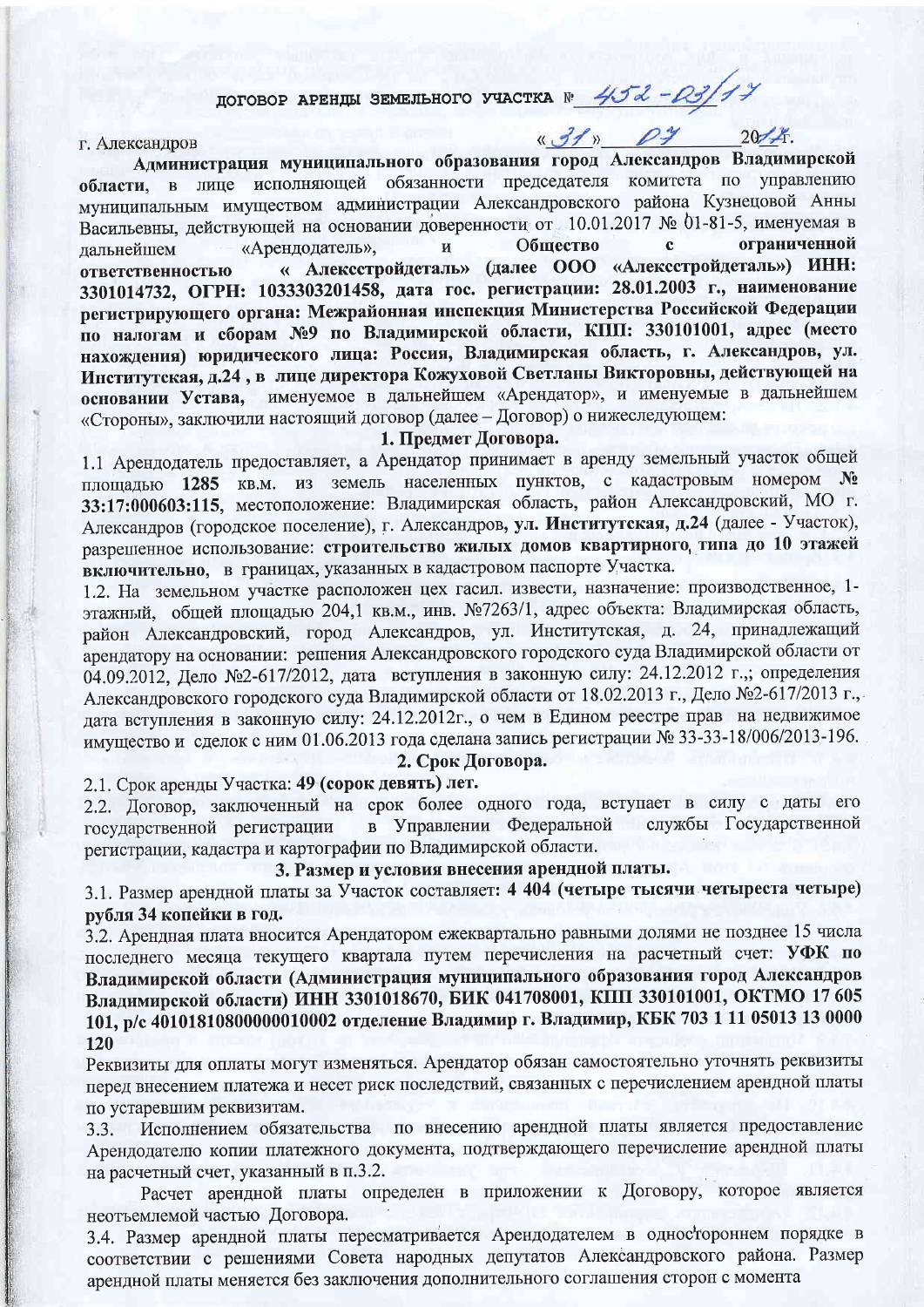# договор АРЕНДЫ ЗЕМЕЛЬНОГО УЧАСТКА № 452-03/14

«31» 04 2014.

#### г. Александров

Администрация муниципального образования город Александров Владимирской области, в лице исполняющей обязанности председателя комитета по управлению муниципальным имуществом администрации Александровского района Кузнецовой Анны Васильевны, действующей на основании доверенности от 10.01.2017 № 01-81-5, именуемая в Общество  $\ddot{\mathbf{c}}$ ограниченной «Арендодатель», Й лапьнейшем « Алексстройдеталь» (далее ООО «Алексстройдеталь») ИНН: ответственностью 3301014732, ОГРН: 1033303201458, дата гос. регистрации: 28.01.2003 г., наименование регистрирующего органа: Межрайонная инспекция Министерства Российской Федерации по налогам и сборам №9 по Владимирской области, КПП: 330101001, адрес (место нахождения) юридического лица: Россия, Владимирская область, г. Александров, ул. Институтская, д.24, в лице директора Кожуховой Светланы Викторовны, действующей на основании Устава, именуемое в дальнейшем «Арендатор», и именуемые в дальнейшем «Стороны», заключили настоящий договор (далее - Договор) о нижеследующем:

# 1. Предмет Договора.

1.1 Арендодатель предоставляет, а Арендатор принимает в аренду земельный участок общей площадью 1285 кв.м. из земель населенных пунктов, с кадастровым номером № 33:17:000603:115, местоположение: Владимирская область, район Александровский, МО г. Александров (городское поселение), г. Александров, ул. Институтская, д.24 (далее - Участок), разрешенное использование: строительство жилых домов квартирного типа до 10 этажей включительно, в границах, указанных в кадастровом паспорте Участка.

1.2. На земельном участке расположен цех гасил. извести, назначение: производственное, 1этажный, общей площадью 204,1 кв.м., инв. №7263/1, адрес объекта: Владимирская область, район Александровский, город Александров, ул. Институтская, д. 24, принадлежащий арендатору на основании: решения Александровского городского суда Владимирской области от 04.09.2012, Дело №2-617/2012, дата вступления в законную силу: 24.12.2012 г.,; определения Александровского городского суда Владимирской области от 18.02.2013 г., Дело №2-617/2013 г., дата вступления в законную силу: 24.12.2012г., о чем в Едином реестре прав на недвижимое имущество и сделок с ним 01.06.2013 года сделана запись регистрации № 33-33-18/006/2013-196.

2. Срок Договора.

2.1. Срок аренды Участка: 49 (сорок девять) лет.

2.2. Договор, заключенный на срок более одного года, вступает в силу с даты его службы Государственной в Управлении Федеральной государственной регистрации регистрации, кадастра и картографии по Владимирской области.

# 3. Размер и условия внесения арендной платы.

3.1. Размер арендной платы за Участок составляет: 4 404 (четыре тысячи четыреста четыре) рубля 34 копейки в год.

3.2. Арендная плата вносится Арендатором ежеквартально равными долями не позднее 15 числа последнего месяца текущего квартала путем перечисления на расчетный счет: УФК по Владимирской области (Администрация муниципального образования город Александров Владимирской области) ИНН 3301018670, БИК 041708001, КПП 330101001, ОКТМО 17 605 101, р/с 40101810800000010002 отделение Владимир г. Владимир, КБК 703 1 11 05013 13 0000 120

Реквизиты для оплаты могут изменяться. Арендатор обязан самостоятельно уточнять реквизиты перед внесением платежа и несет риск последствий, связанных с перечислением арендной платы по устаревшим реквизитам.

Исполнением обязательства по внесению арендной платы является предоставление  $3.3.$ Арендодателю копии платежного документа, подтверждающего перечисление арендной платы на расчетный счет, указанный в п.3.2.

Расчет арендной платы определен в приложении к Договору, которое является неотъемлемой частью Договора.

3.4. Размер арендной платы пересматривается Арендодателем в одностороннем порядке в соответствии с решениями Совета народных депутатов Александровского района. Размер арендной платы меняется без заключения дополнительного соглашения сторон с момента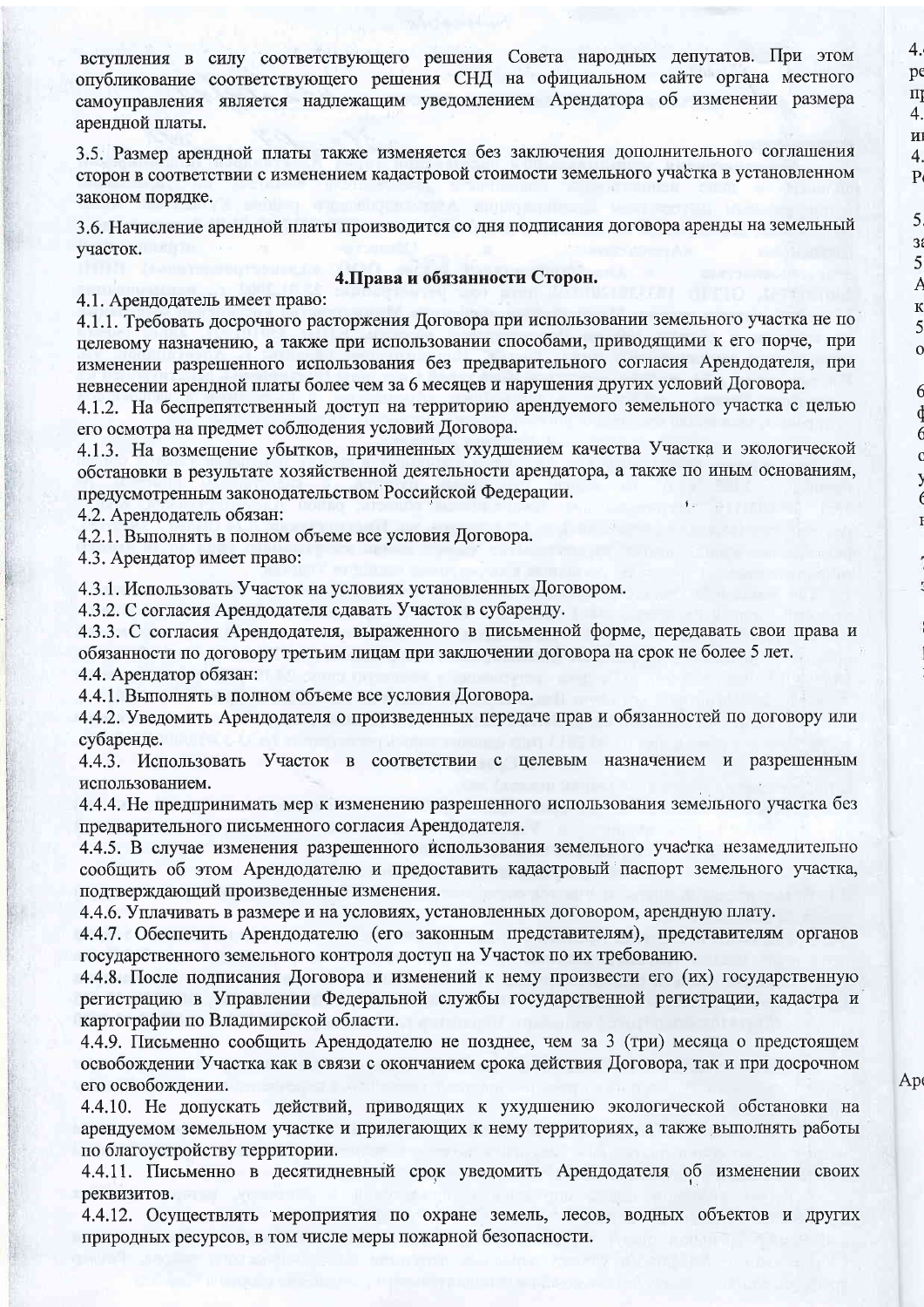вступления в силу соответствующего решения Совета народных депутатов. При этом опубликование соответствующего решения СНД на официальном сайте органа местного самоуправления является надлежащим уведомлением Арендатора об изменении размера арендной платы.

3.5. Размер арендной платы также изменяется без заключения дополнительного соглашения сторон в соответствии с изменением кадастровой стоимости земельного участка в установленном законом порядке.

3.6. Начисление арендной платы производится со дня подписания договора аренды на земельный участок.

# 4. Права и обязанности Сторон.

4.1. Арендолатель имеет право:

4.1.1. Требовать досрочного расторжения Договора при использовании земельного участка не по целевому назначению, а также при использовании способами, приводящими к его порче, при изменении разрешенного использования без предварительного согласия Арендодателя, при невнесении арендной платы более чем за 6 месяцев и нарушения других условий Договора.

4.1.2. На беспрепятственный доступ на территорию арендуемого земельного участка с целью его осмотра на предмет соблюдения условий Договора.

4.1.3. На возмещение убытков, причиненных ухудшением качества Участка и экологической обстановки в результате хозяйственной деятельности арендатора, а также по иным основаниям, предусмотренным законодательством Российской Федерации.

4.2. Арендодатель обязан:

4.2.1. Выполнять в полном объеме все условия Договора.

4.3. Арендатор имеет право:

4.3.1. Использовать Участок на условиях установленных Договором.

4.3.2. С согласия Арендодателя сдавать Участок в субаренду.

4.3.3. С согласия Арендодателя, выраженного в письменной форме, передавать свои права и обязанности по договору третьим лицам при заключении договора на срок не более 5 лет. 4.4. Арендатор обязан:

4.4.1. Выполнять в полном объеме все условия Договора.

4.4.2. Уведомить Арендодателя о произведенных передаче прав и обязанностей по договору или субаренде.

4.4.3. Использовать Участок в соответствии с целевым назначением и разрешенным использованием.

4.4.4. Не предпринимать мер к изменению разрешенного использования земельного участка без предварительного письменного согласия Арендодателя.

4.4.5. В случае изменения разрешенного использования земельного участка незамедлительно сообщить об этом Арендодателю и предоставить кадастровый паспорт земельного участка, подтверждающий произведенные изменения.

4.4.6. Уплачивать в размере и на условиях, установленных договором, арендную плату.

4.4.7. Обеспечить Арендодателю (его законным представителям), представителям органов государственного земельного контроля доступ на Участок по их требованию.

4.4.8. После подписания Договора и изменений к нему произвести его (их) государственную регистрацию в Управлении Федеральной службы государственной регистрации, кадастра и картографии по Владимирской области.

4.4.9. Письменно сообщить Арендодателю не позднее, чем за 3 (три) месяца о предстоящем освобождении Участка как в связи с окончанием срока действия Договора, так и при досрочном его освобождении.

Ap

4.

p  $\overline{\Pi}$ 

4.

 $\mathbf{H}$ 

 $\overline{4}$ 

 $\overline{P}$ 

5

 $3i$ 

5

A

 $\mathbf K$ 

5

 $\mathbf{o}$ 

 $\epsilon$ 

 $\epsilon$ 

 $\epsilon$ 

4.4.10. Не допускать действий, приводящих к ухудшению экологической обстановки на арендуемом земельном участке и прилегающих к нему территориях, а также выполнять работы по благоустройству территории.

4.4.11. Письменно в десятидневный срок уведомить Арендодателя об изменении своих реквизитов.

4.4.12. Осуществлять мероприятия по охране земель, лесов, водных объектов и других природных ресурсов, в том числе меры пожарной безопасности.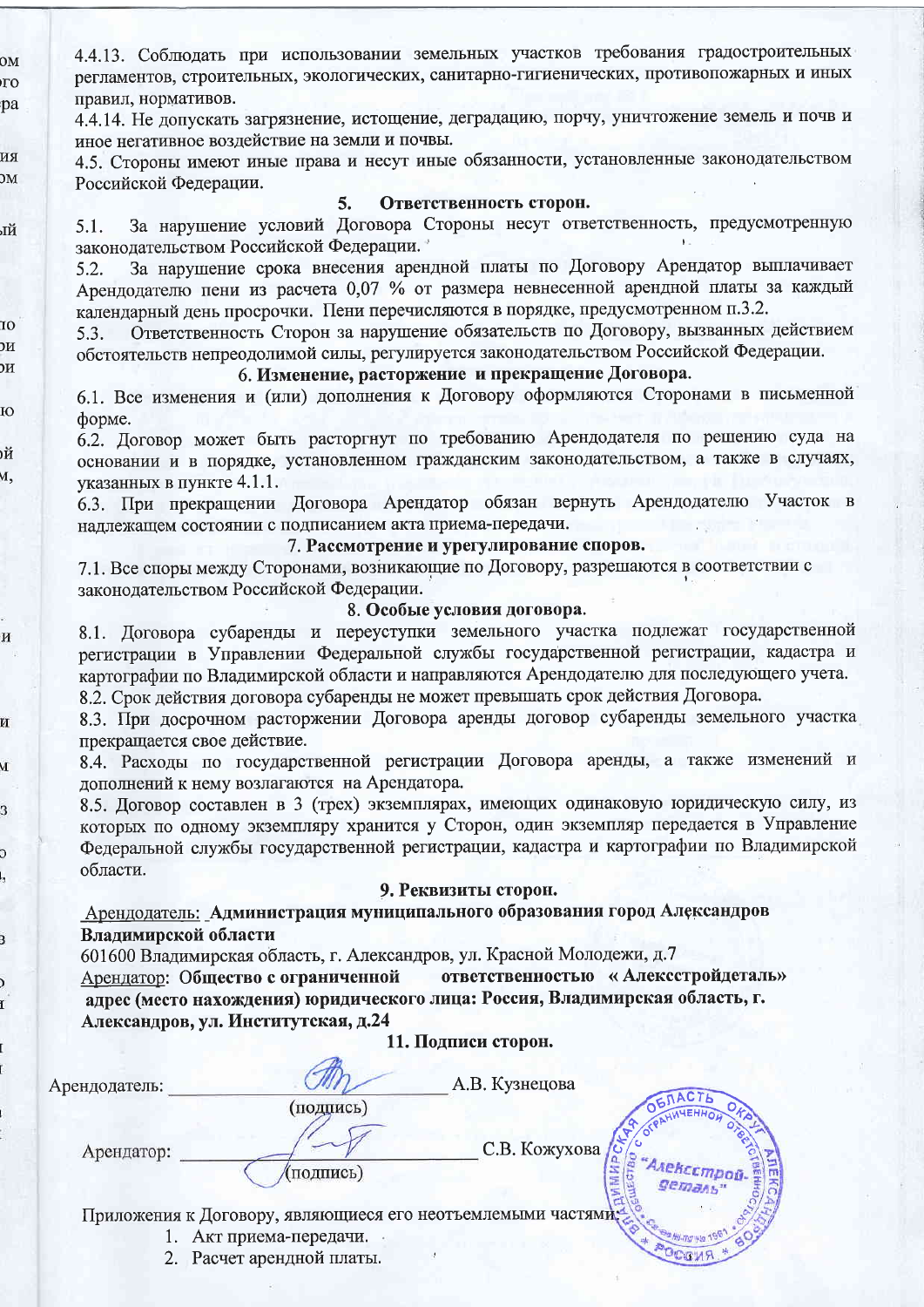4.4.13. Соблюдать при использовании земельных участков требования градостроительных регламентов, строительных, экологических, санитарно-гигиенических, противопожарных и иных правил, нормативов.

4.4.14. Не допускать загрязнение, истощение, деградацию, порчу, уничтожение земель и почв и иное негативное воздействие на земли и почвы.

4.5. Стороны имеют иные права и несут иные обязанности, установленные законодательством Российской Федерации.

лй

10

DИ

DИ

Ю

DЙ

v,

И

И

VI

3

Ć

3

 $_{OM}$ 

īЮ

pa

RN  $\overline{\text{M}}$ 

#### Ответственность сторон. 5.

За нарушение условий Договора Стороны несут ответственность, предусмотренную  $5.1.$ законодательством Российской Федерации.

За нарушение срока внесения арендной платы по Договору Арендатор выплачивает 5.2. Арендодателю пени из расчета 0,07 % от размера невнесенной арендной платы за каждый календарный день просрочки. Пени перечисляются в порядке, предусмотренном п.3.2.

Ответственность Сторон за нарушение обязательств по Договору, вызванных действием 5.3. обстоятельств непреодолимой силы, регулируется законодательством Российской Федерации.

# 6. Изменение, расторжение и прекращение Договора.

6.1. Все изменения и (или) дополнения к Договору оформляются Сторонами в письменной форме.

6.2. Договор может быть расторгнут по требованию Арендодателя по решению суда на основании и в порядке, установленном гражданским законодательством, а также в случаях, указанных в пункте 4.1.1.

6.3. При прекращении Договора Арендатор обязан вернуть Арендодателю Участок в надлежащем состоянии с подписанием акта приема-передачи.

# 7. Рассмотрение и урегулирование споров.

7.1. Все споры между Сторонами, возникающие по Договору, разрешаются в соответствии с законодательством Российской Федерации.

# 8. Особые условия договора.

8.1. Договора субаренды и переуступки земельного участка подлежат государственной регистрации в Управлении Федеральной службы государственной регистрации, кадастра и картографии по Владимирской области и направляются Арендодателю для последующего учета.

8.2. Срок действия договора субаренды не может превышать срок действия Договора.

8.3. При досрочном расторжении Договора аренды договор субаренды земельного участка прекращается свое действие.

8.4. Расходы по государственной регистрации Договора аренды, а также изменений и дополнений к нему возлагаются на Арендатора.

8.5. Договор составлен в 3 (трех) экземплярах, имеющих одинаковую юридическую силу, из которых по одному экземпляру хранится у Сторон, один экземпляр передается в Управление Федеральной службы государственной регистрации, кадастра и картографии по Владимирской области.

### 9. Реквизиты сторон.

**BH-RS NS 1981** 

\* RNDOG

Арендодатель: Администрация муниципального образования город Александров Владимирской области

601600 Владимирская область, г. Александров, ул. Красной Молодежи, д.7

ответственностью «Алексстройдеталь» Арендатор: Общество с ограниченной адрес (место нахождения) юридического лица: Россия, Владимирская область, г. Александров, ул. Институтская, д.24

|               | 11. ПОДПИСИ СТОРОВ.                                          |                |                                           |
|---------------|--------------------------------------------------------------|----------------|-------------------------------------------|
| Арендодатель: |                                                              | А.В. Кузнецова |                                           |
| Арендатор:    | подпись)<br>(подпись)                                        | С.В. Кожухова  | <b>WAMEND.</b><br>«"Алексстров<br>gemany" |
|               | Приложения к Договору, являющиеся его неотъемлемыми частями. |                |                                           |

- 1. Акт приема-передачи.
- 2. Расчет арендной платы.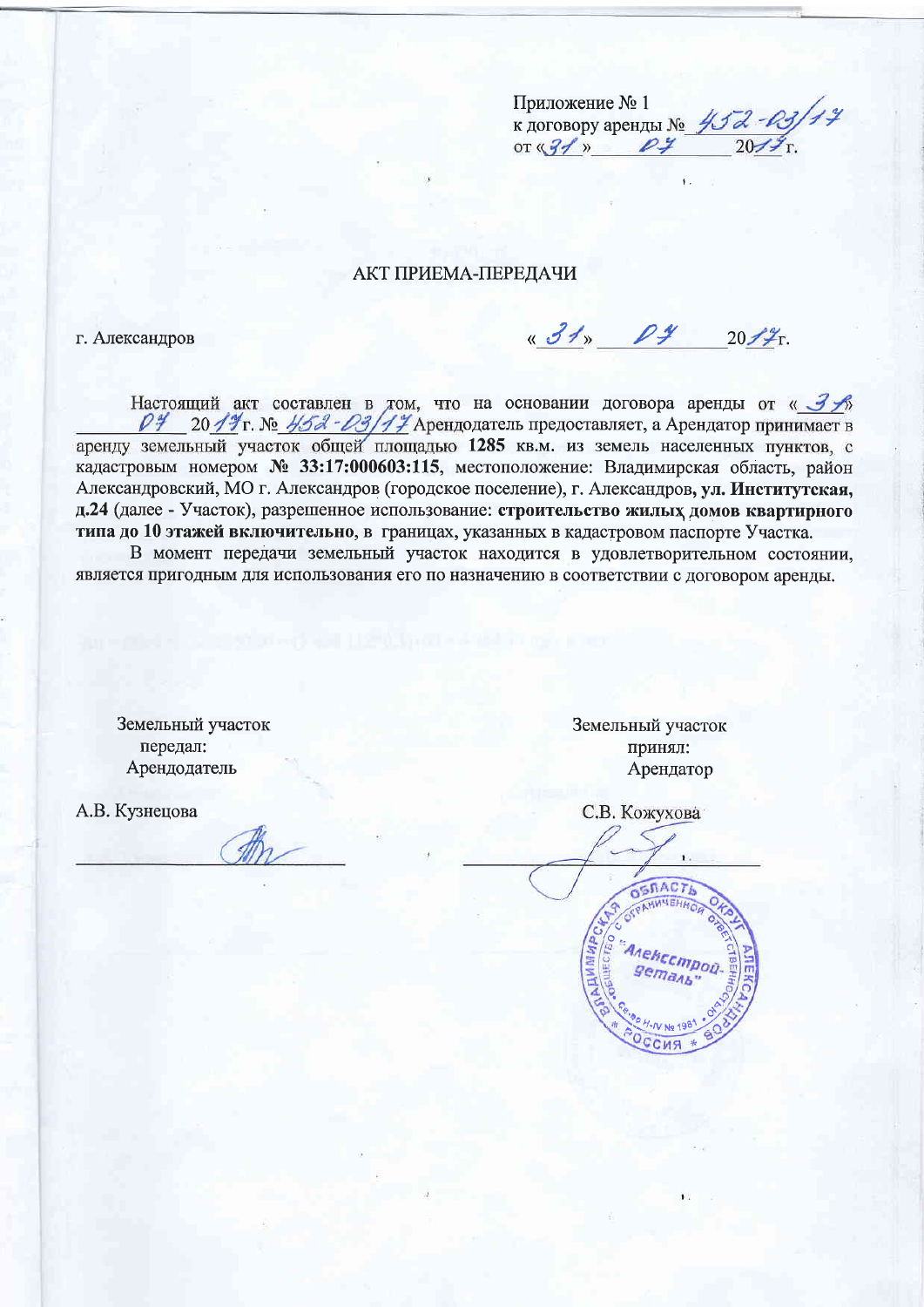Приложение № 1  $\kappa$  договору аренды  $N_e$  452-03/14<br>or  $\frac{91}{24}$  2014

# **АКТ ПРИЕМА-ПЕРЕДАЧИ**

г. Александров

« 31» 04 2017

Настоящий акт составлен в том, что на основании договора аренды от « ЗА 20 19 г. № 452 - 03/17 Арендодатель предоставляет, а Арендатор принимает в  $\rho$ y аренду земельный участок общей площадью 1285 кв.м. из земель населенных пунктов, с кадастровым номером № 33:17:000603:115, местоположение: Владимирская область, район Александровский, МО г. Александров (городское поселение), г. Александров, ул. Институтская, д.24 (далее - Участок), разрешенное использование: строительство жилых домов квартирного типа до 10 этажей включительно, в границах, указанных в кадастровом паспорте Участка.

В момент передачи земельный участок находится в удовлетворительном состоянии. является пригодным для использования его по назначению в соответствии с договором аренды.

Земельный участок передал: Арендодатель

А.В. Кузнецова

Земельный участок принял: Арендатор

С.В. Кожухова

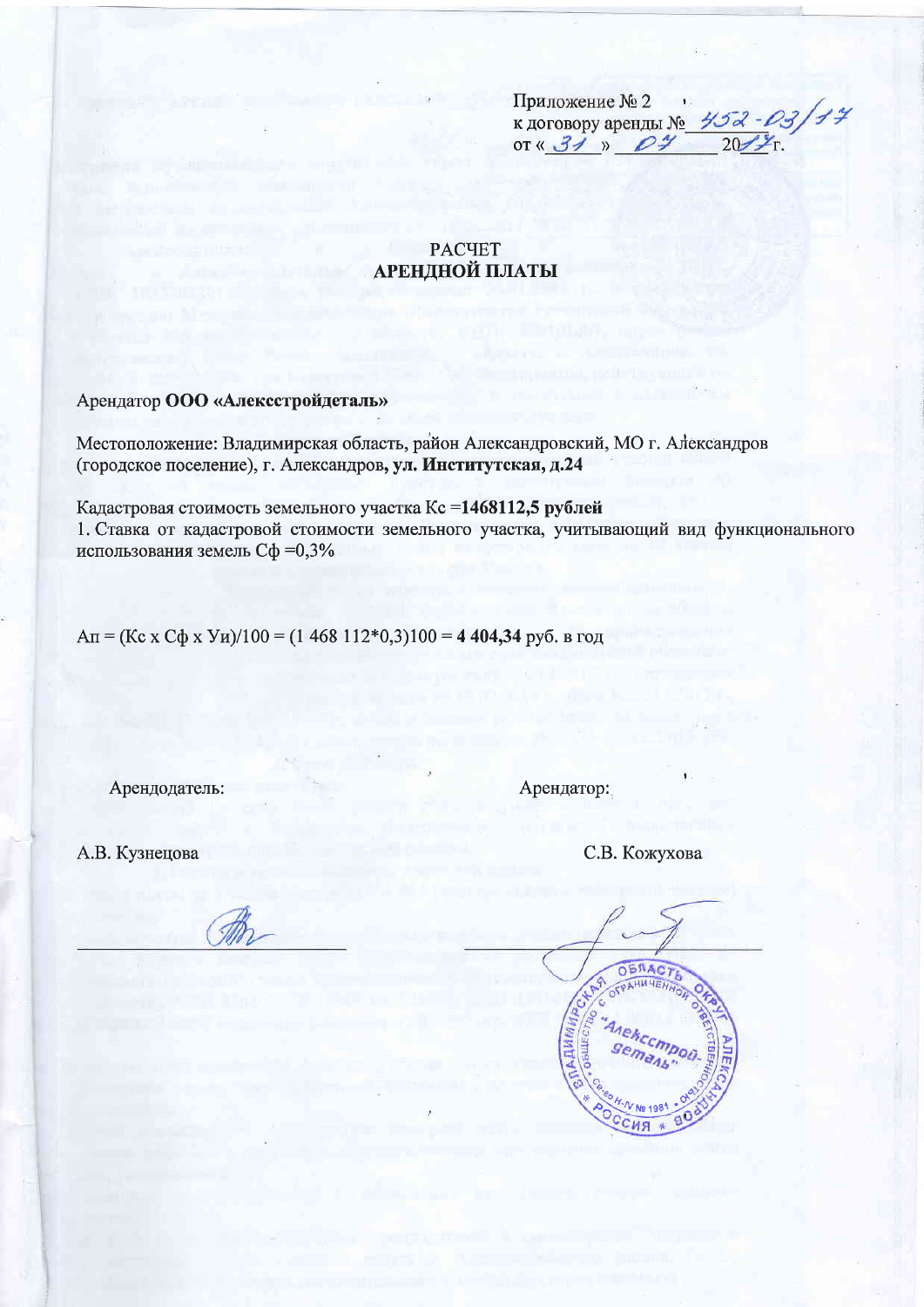Приложение № 2 к договору аренды № 452-03/14

**PACYET АРЕНДНОЙ ПЛАТЫ** 

Арендатор ООО «Алексстройдеталь»

Местоположение: Владимирская область, район Александровский, МО г. Александров (городское поселение), г. Александров, ул. Институтская, д.24

Кадастровая стоимость земельного участка Кс=1468112,5 рублей 1. Ставка от кадастровой стоимости земельного участка, учитывающий вид функционального использования земель Сф =0,3%

 $An = (Kc \times C\phi \times YH)/100 = (1\ 468\ 112*0,3)100 = 4\ 404,34 \text{ py6}$ . B rog

Арендодатель:

Арендатор:

А.В. Кузнецова

С.В. Кожухова

**OBNAC**